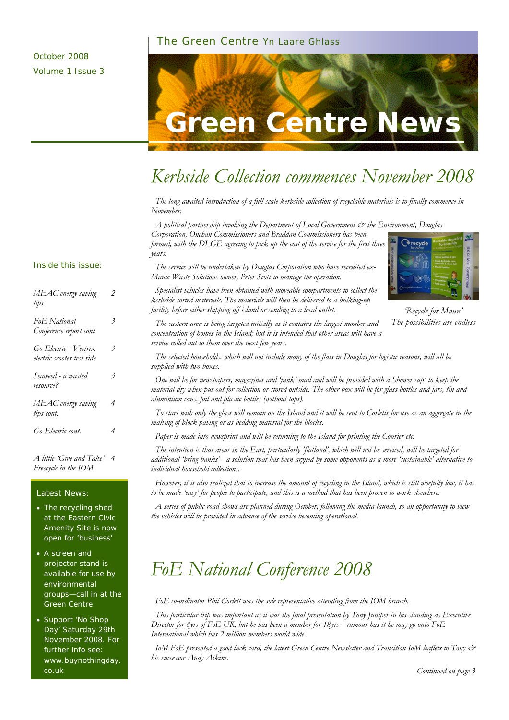#### The Green Centre Yn Laare Ghlass



## *Kerbside Collection commences November 2008*

 *The long awaited introduction of a full-scale kerbside collection of recyclable materials is to finally commence in November.* 

 *A political partnership involving the Department of Local Government & the Environment, Douglas Corporation, Onchan Commissioners and Braddan Commissioners has been* 

*formed, with the DLGE agreeing to pick up the cost of the service for the first three years.* 

 *The service will be undertaken by Douglas Corporation who have recruited ex-Manx Waste Solutions owner, Peter Scott to manage the operation.* 



*'Recycle for Mann' The possibilities are endless* 

 *Specialist vehicles have been obtained with moveable compartments to collect the kerbside sorted materials. The materials will then be delivered to a bulking-up facility before either shipping off island or sending to a local outlet.* 

 *The eastern area is being targeted initially as it contains the largest number and concentration of homes in the Island; but it is intended that other areas will have a service rolled out to them over the next few years.* 

 *The selected households, which will not include many of the flats in Douglas for logistic reasons, will all be supplied with two boxes.* 

 *One will be for newspapers, magazines and 'junk' mail and will be provided with a 'shower cap' to keep the material dry when put out for collection or stored outside. The other box will be for glass bottles and jars, tin and aluminium cans, foil and plastic bottles (without tops).* 

 *To start with only the glass will remain on the Island and it will be sent to Corletts for use as an aggregate in the making of block paving or as bedding material for the blocks.* 

 *Paper is made into newsprint and will be returning to the Island for printing the Courier etc.* 

 *The intention is that areas in the East, particularly 'flatland', which will not be serviced, will be targeted for additional 'bring banks' - a solution that has been argued by some opponents as a more 'sustainable' alternative to individual household collections.* 

 *However, it is also realized that to increase the amount of recycling in the Island, which is still woefully low, it has to be made 'easy' for people to participate; and this is a method that has been proven to work elsewhere.* 

 *A series of public road-shows are planned during October, following the media launch, so an opportunity to view the vehicles will be provided in advance of the service becoming operational.* 

## *FoE National Conference 2008*

 *FoE co-ordinator Phil Corlett was the sole representative attending from the IOM branch.* 

 *This particular trip was important as it was the final presentation by Tony Juniper in his standing as Executive Director for 8yrs of FoE UK, but he has been a member for 18yrs – rumour has it he may go onto FoE International which has 2 million members world wide.* 

 *IoM FoE presented a good luck card, the latest Green Centre Newsletter and Transition IoM leaflets to Tony & his successor Andy Atkins.* 

#### Inside this issue:

| MEAC energy saving<br>tips                          | 2 |
|-----------------------------------------------------|---|
| Fo <sub>E</sub> National<br>Conference report cont  | 3 |
| Go Electric - Vectrix<br>electric scooter test ride | 3 |
| Seaweed - a wasted<br>resource?                     | 3 |
| MEAC energy saving<br>tips cont.                    | 4 |
| Go Electric cont.                                   | 4 |

*A little 'Give and Take' 4 Freecycle in the IOM* 

#### Latest News:

- The recycling shed at the Eastern Civic Amenity Site is now open for 'business'
- A screen and projector stand is available for use by environmental groups—call in at the Green Centre
- Support 'No Shop Day' Saturday 29th November 2008. For further info see: www.buynothingday. co.uk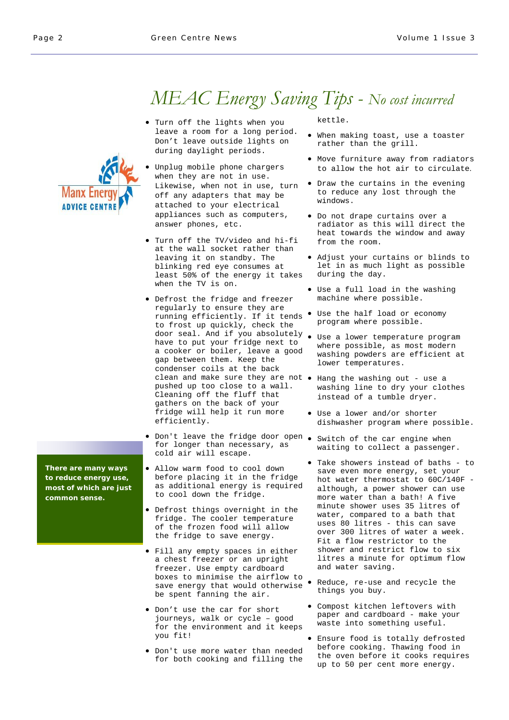# *MEAC Energy Saving Tips - No cost incurred*

- Turn off the lights when you leave a room for a long period. Don't leave outside lights on during daylight periods.
- Unplug mobile phone chargers when they are not in use. Likewise, when not in use, turn off any adapters that may be attached to your electrical appliances such as computers, answer phones, etc.
- Turn off the TV/video and hi-fi at the wall socket rather than leaving it on standby. The blinking red eye consumes at least 50% of the energy it takes when the TV is on.
- Defrost the fridge and freezer regularly to ensure they are running efficiently. If it tends • Use the half load or economy to frost up quickly, check the door seal. And if you absolutely • Use a lower temperature program have to put your fridge next to a cooker or boiler, leave a good gap between them. Keep the condenser coils at the back clean and make sure they are not • Hang the washing out - use a pushed up too close to a wall. Cleaning off the fluff that gathers on the back of your fridge will help it run more efficiently.
- Don't leave the fridge door open Switch of the car engine when for longer than necessary, as cold air will escape.
- Allow warm food to cool down before placing it in the fridge as additional energy is required to cool down the fridge.
- Defrost things overnight in the fridge. The cooler temperature of the frozen food will allow the fridge to save energy.
- Fill any empty spaces in either a chest freezer or an upright freezer. Use empty cardboard boxes to minimise the airflow to save energy that would otherwise be spent fanning the air.
- Don't use the car for short journeys, walk or cycle – good for the environment and it keeps you fit!
- Don't use more water than needed for both cooking and filling the

kettle.

- When making toast, use a toaster rather than the grill.
- Move furniture away from radiators to allow the hot air to circulate.
- Draw the curtains in the evening to reduce any lost through the windows.
- Do not drape curtains over a radiator as this will direct the heat towards the window and away from the room.
- Adjust your curtains or blinds to let in as much light as possible during the day.
- Use a full load in the washing machine where possible.
- program where possible.
- where possible, as most modern washing powders are efficient at lower temperatures.
- washing line to dry your clothes instead of a tumble dryer.
- Use a lower and/or shorter dishwasher program where possible.
- waiting to collect a passenger.
- Take showers instead of baths to save even more energy, set your hot water thermostat to 60C/140F although, a power shower can use more water than a bath! A five minute shower uses 35 litres of water, compared to a bath that uses 80 litres - this can save over 300 litres of water a week. Fit a flow restrictor to the shower and restrict flow to six litres a minute for optimum flow and water saving.
- Reduce, re-use and recycle the things you buy.
- Compost kitchen leftovers with paper and cardboard - make your waste into something useful.
- Ensure food is totally defrosted before cooking. Thawing food in the oven before it cooks requires up to 50 per cent more energy.

**Manx Ene ADVICE CENTI** 

**There are many ways to reduce energy use, most of which are just common sense.**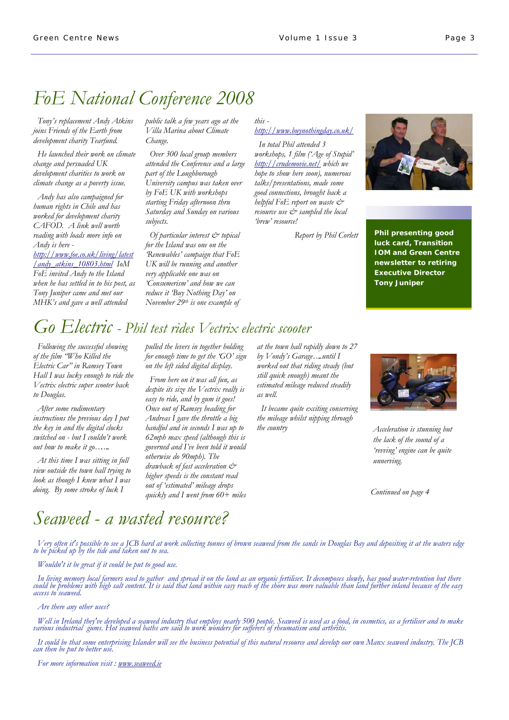## *FoE National Conference 2008*

 *Tony's replacement Andy Atkins joins Friends of the Earth from development charity Tearfund.* 

 *He launched their work on climate change and persuaded UK development charities to work on climate change as a poverty issue.* 

 *Andy has also campaigned for human rights in Chile and has worked for development charity CAFOD. A link well worth reading with loads more info on Andy is here -* 

*http://www.foe.co.uk/living/latest /andy\_atkins\_10803.html IoM FoE invited Andy to the Island when he has settled in to his post, as Tony Juniper came and met our MHK's and gave a well attended* 

*public talk a few years ago at the Villa Marina about Climate Change.* 

 *Over 300 local group members attended the Conference and a large part of the Loughborough University campus was taken over by FoE UK with workshops starting Friday afternoon thru Saturday and Sunday on various subjects.* 

 *Of particular interest & topical for the Island was one on the 'Renewables' campaign that FoE UK will be running and another very applicable one was on 'Consumerism' and how we can reduce it 'Buy Nothing Day' on November 29th is one example of* 

#### *this http://www.buynothingday.co.uk/*

 *In total Phil attended 3 workshops, 1 film ('Age of Stupid' http://crudemovie.net/ which we hope to show here soon), numerous talks/presentations, made some good connections, brought back a helpful FoE report on waste & resource use & sampled the local 'brew' resource!* 

*Report by Phil Corlett* 



**Phil presenting good luck card, Transition IOM and Green Centre newsletter to retiring Executive Director Tony Juniper** 

# *Go Electric - Phil test rides Vectrix electric scooter*

 *Following the successful showing of the film "Who Killed the Electric Car" in Ramsey Town Hall I was lucky enough to ride the Vectrix electric super scooter back to Douglas.* 

 *After some rudimentary instructions the previous day I put the key in and the digital clocks switched on - but I couldn't work out how to make it go……..* 

 *At this time I was sitting in full view outside the town hall trying to look as though I knew what I was doing. By some stroke of luck I* 

*pulled the levers in together holding for enough time to get the 'GO' sign on the left sided digital display.* 

 *From here on it was all fun, as despite its size the Vectrix really is easy to ride, and by gum it goes! Once out of Ramsey heading for Andreas I gave the throttle a big handful and in seconds I was up to 62mph max speed (although this is governed and I've been told it would otherwise do 90mph). The drawback of fast acceleration & higher speeds is the constant read out of 'estimated' mileage drops quickly and I went from 60+ miles* 

*at the town hall rapidly down to 27 by Vondy's Garage…..until I worked out that riding steady (but still quick enough) meant the estimated mileage reduced steadily as well.* 

 *It became quite exciting conserving the mileage whilst nipping through the country* 



*Acceleration is stunning but the lack of the sound of a 'revving' engine can be quite unnerving.* 

*Continued on page 4* 

## *Seaweed - a wasted resource?*

*Very often it's possible to see a JCB hard at work collecting tonnes of brown seaweed from the sands in Douglas Bay and depositing it at the waters edge to be picked up by the tide and taken out to sea.* 

 *Wouldn't it be great if it could be put to good use.* 

 *In living memory local farmers used to gather and spread it on the land as an organic fertiliser. It decomposes slowly, has good water-retention but there could be problems with high salt content. It is said that land within easy reach of the shore was more valuable than land further inland because of the easy access to seaweed.*

 *Are there any other uses?*

Well in Ireland they've developed a seaweed industry that employs nearly 500 people. Seaweed is used as a food, in cosmetics, as a fertiliser and to make<br>various industrial gums. Hot seaweed baths are said to work wonders

 *It could be that some enterprising Islander will see the business potential of this natural resource and develop our own Manx seaweed industry. The JCB can then be put to better use.* 

 *For more information visit : www.seaweed.ie*